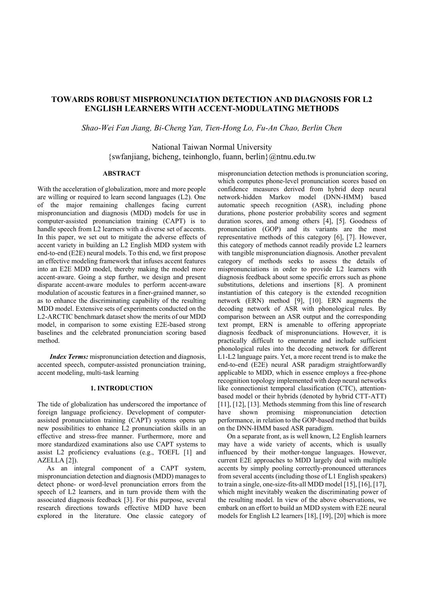# **TOWARDS ROBUST MISPRONUNCIATION DETECTION AND DIAGNOSIS FOR L2 ENGLISH LEARNERS WITH ACCENT-MODULATING METHODS**

*Shao-Wei Fan Jiang, Bi-Cheng Yan, Tien-Hong Lo, Fu-An Chao, Berlin Chen* 

National Taiwan Normal University {swfanjiang, bicheng, teinhonglo, fuann, berlin}@ntnu.edu.tw

#### **ABSTRACT**

With the acceleration of globalization, more and more people are willing or required to learn second languages (L2). One of the major remaining challenges facing current mispronunciation and diagnosis (MDD) models for use in computer-assisted pronunciation training (CAPT) is to handle speech from L2 learners with a diverse set of accents. In this paper, we set out to mitigate the adverse effects of accent variety in building an L2 English MDD system with end-to-end (E2E) neural models. To this end, we first propose an effective modeling framework that infuses accent features into an E2E MDD model, thereby making the model more accent-aware. Going a step further, we design and present disparate accent-aware modules to perform accent-aware modulation of acoustic features in a finer-grained manner, so as to enhance the discriminating capability of the resulting MDD model. Extensive sets of experiments conducted on the L2-ARCTIC benchmark dataset show the merits of our MDD model, in comparison to some existing E2E-based strong baselines and the celebrated pronunciation scoring based method.

*Index Terms:* mispronunciation detection and diagnosis, accented speech, computer-assisted pronunciation training, accent modeling, multi-task learning

# **1. INTRODUCTION**

The tide of globalization has underscored the importance of foreign language proficiency. Development of computerassisted pronunciation training (CAPT) systems opens up new possibilities to enhance L2 pronunciation skills in an effective and stress-free manner. Furthermore, more and more standardized examinations also use CAPT systems to assist L2 proficiency evaluations (e.g., TOEFL [1] and AZELLA [2]).

As an integral component of a CAPT system, mispronunciation detection and diagnosis (MDD) manages to detect phone- or word-level pronunciation errors from the speech of L2 learners, and in turn provide them with the associated diagnosis feedback [3]. For this purpose, several research directions towards effective MDD have been explored in the literature. One classic category of mispronunciation detection methods is pronunciation scoring, which computes phone-level pronunciation scores based on confidence measures derived from hybrid deep neural network-hidden Markov model (DNN-HMM) based automatic speech recognition (ASR), including phone durations, phone posterior probability scores and segment duration scores, and among others [4], [5]. Goodness of pronunciation (GOP) and its variants are the most representative methods of this category [6], [7]. However, this category of methods cannot readily provide L2 learners with tangible mispronunciation diagnosis. Another prevalent category of methods seeks to assess the details of mispronunciations in order to provide L2 learners with diagnosis feedback about some specific errors such as phone substitutions, deletions and insertions [8]. A prominent instantiation of this category is the extended recognition network (ERN) method [9], [10]. ERN augments the decoding network of ASR with phonological rules. By comparison between an ASR output and the corresponding text prompt, ERN is amenable to offering appropriate diagnosis feedback of mispronunciations. However, it is practically difficult to enumerate and include sufficient phonological rules into the decoding network for different L1-L2 language pairs. Yet, a more recent trend is to make the end-to-end (E2E) neural ASR paradigm straightforwardly applicable to MDD, which in essence employs a free-phone recognition topology implemented with deep neural networks like connectionist temporal classification (CTC), attentionbased model or their hybrids (denoted by hybrid CTT-ATT) [11], [12], [13]. Methods stemming from this line of research have shown promising mispronunciation detection performance, in relation to the GOP-based method that builds on the DNN-HMM based ASR paradigm.

On a separate front, as is well known, L2 English learners may have a wide variety of accents, which is usually influenced by their mother-tongue languages. However, current E2E approaches to MDD largely deal with multiple accents by simply pooling correctly-pronounced utterances from several accents (including those of L1 English speakers) to train a single, one-size-fits-all MDD model [15], [16], [17], which might inevitably weaken the discriminating power of the resulting model. In view of the above observations, we embark on an effort to build an MDD system with E2E neural models for English L2 learners [18], [19], [20] which is more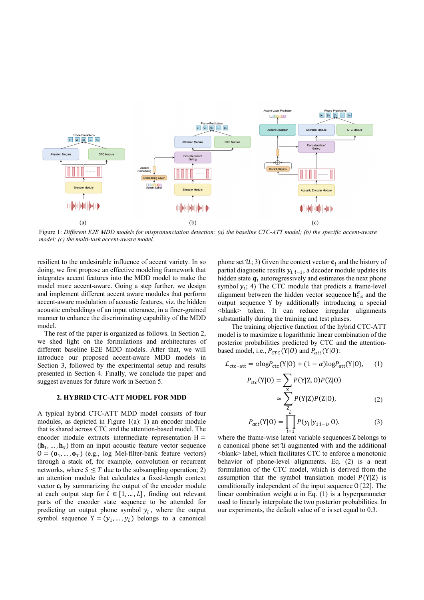

Figure 1: *Different E2E MDD models for mispronunciation detection: (a) the baseline CTC-ATT model; (b) the specific accent-aware model; (c) the multi-task accent-aware model.* 

resilient to the undesirable influence of accent variety. In so doing, we first propose an effective modeling framework that integrates accent features into the MDD model to make the model more accent-aware. Going a step further, we design and implement different accent aware modules that perform accent-aware modulation of acoustic features, viz. the hidden acoustic embeddings of an input utterance, in a finer-grained manner to enhance the discriminating capability of the MDD model.

The rest of the paper is organized as follows. In Section 2, we shed light on the formulations and architectures of different baseline E2E MDD models. After that, we will introduce our proposed accent-aware MDD models in Section 3, followed by the experimental setup and results presented in Section 4. Finally, we conclude the paper and suggest avenues for future work in Section 5.

### **2. HYBRID CTC-ATT MODEL FOR MDD**

A typical hybrid CTC-ATT MDD model consists of four modules, as depicted in Figure 1(a): 1) an encoder module that is shared across CTC and the attention-based model. The encoder module extracts intermediate representation  $H =$  $(h_1, ..., h_s)$  from an input acoustic feature vector sequence  $O = (**o**<sub>1</sub>, ..., **o**<sub>T</sub>)$  (e.g., log Mel-filter-bank feature vectors) through a stack of, for example, convolution or recurrent networks, where  $S \leq T$  due to the subsampling operation; 2) an attention module that calculates a fixed-length context vector  $\mathbf{c}_i$  by summarizing the output of the encoder module at each output step for  $l \in [1, ..., L]$ , finding out relevant parts of the encoder state sequence to be attended for predicting an output phone symbol  $y_l$ , where the output symbol sequence  $Y = (y_1, ..., y_l)$  belongs to a canonical

phone set  $\mathcal{U}$ ; 3) Given the context vector  $\mathbf{c}_l$  and the history of partial diagnostic results  $y_{1:l-1}$ , a decoder module updates its hidden state  $q_l$  autoregressively and estimates the next phone symbol  $y_l$ ; 4) The CTC module that predicts a frame-level alignment between the hidden vector sequence  $\mathbf{h}_{1:s}^E$  and the output sequence Y by additionally introducing a special <blank> token. It can reduce irregular alignments substantially during the training and test phases.

The training objective function of the hybrid CTC-ATT model is to maximize a logarithmic linear combination of the posterior probabilities predicted by CTC and the attentionbased model, i.e.,  $P_{CTC}(Y|O)$  and  $P_{att}(Y|O)$ :

$$
\mathcal{L}_{\text{ctc-att}} = \alpha \log P_{\text{ctc}}(\text{Y}|0) + (1 - \alpha) \log P_{\text{att}}(\text{Y}|0), \quad (1)
$$

$$
P_{\text{ctc}}(\text{Y}|0) = \sum_{Z} P(\text{Y}|Z, 0) P(Z|0)
$$
  

$$
\approx \sum_{Z} P(\text{Y}|Z) P(Z|0), \tag{2}
$$

$$
P_{att}(Y|0) = \prod_{l=1}^{L} P(y_l|y_{1:l-1}, 0).
$$
 (3)

where the frame-wise latent variable sequences Z belongs to a canonical phone set  $\mathcal U$  augmented with and the additional <blank> label, which facilitates CTC to enforce a monotonic behavior of phone-level alignments. Eq. (2) is a neat formulation of the CTC model, which is derived from the assumption that the symbol translation model  $P(Y|Z)$  is conditionally independent of the input sequence O [22]. The linear combination weight  $\alpha$  in Eq. (1) is a hyperparameter used to linearly interpolate the two posterior probabilities. In our experiments, the default value of  $\alpha$  is set equal to 0.3.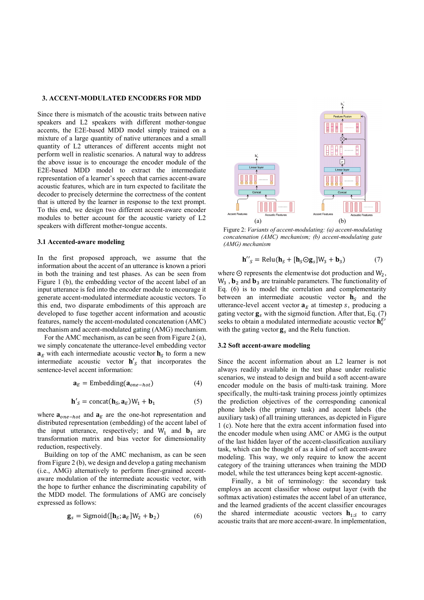## **3. ACCENT-MODULATED ENCODERS FOR MDD**

Since there is mismatch of the acoustic traits between native speakers and L2 speakers with different mother-tongue accents, the E2E-based MDD model simply trained on a mixture of a large quantity of native utterances and a small quantity of L2 utterances of different accents might not perform well in realistic scenarios. A natural way to address the above issue is to encourage the encoder module of the E2E-based MDD model to extract the intermediate representation of a learner's speech that carries accent-aware acoustic features, which are in turn expected to facilitate the decoder to precisely determine the correctness of the content that is uttered by the learner in response to the text prompt. To this end, we design two different accent-aware encoder modules to better account for the acoustic variety of L2 speakers with different mother-tongue accents.

#### **3.1 Accented-aware modeling**

In the first proposed approach, we assume that the information about the accent of an utterance is known a priori in both the training and test phases. As can be seen from Figure 1 (b), the embedding vector of the accent label of an input utterance is fed into the encoder module to encourage it generate accent-modulated intermediate acoustic vectors. To this end, two disparate embodiments of this approach are developed to fuse together accent information and acoustic features, namely the accent-modulated concatenation (AMC) mechanism and accent-modulated gating (AMG) mechanism.

For the AMC mechanism, as can be seen from Figure 2 (a), we simply concatenate the utterance-level embedding vector  $a<sub>E</sub>$  with each intermediate acoustic vector  **to form a new** intermediate acoustic vector  $h'_{s}$  that incorporates the sentence-level accent information:

$$
\mathbf{a}_E = \text{Embedding}(\mathbf{a}_{one-hot}) \tag{4}
$$

$$
\mathbf{h}'_S = \text{concat}(\mathbf{h}_S, \mathbf{a}_E)W_1 + \mathbf{b}_1 \tag{5}
$$

where  $\mathbf{a}_{one-hot}$  and  $\mathbf{a}_E$  are the one-hot representation and distributed representation (embedding) of the accent label of the input utterance, respectively; and  $W_1$  and  $b_1$  are transformation matrix and bias vector for dimensionality reduction, respectively.

Building on top of the AMC mechanism, as can be seen from Figure 2 (b), we design and develop a gating mechanism (i.e., AMG) alternatively to perform finer-grained accentaware modulation of the intermediate acoustic vector, with the hope to further enhance the discriminating capability of the MDD model. The formulations of AMG are concisely expressed as follows:

$$
\mathbf{g}_s = \text{Sigmoid}([\mathbf{h}_s; \mathbf{a}_E]W_2 + \mathbf{b}_2)
$$
 (6)



Figure 2: *Variants of accent-modulating: (a) accent-modulating concatenation (AMC) mechanism; (b) accent-modulating gate (AMG) mechanism*

$$
\mathbf{h}^{"}{}_{S} = \text{Relu}(\mathbf{h}_{S} + [\mathbf{h}_{S} \odot \mathbf{g}_{S}]W_{3} + \mathbf{b}_{3})
$$
 (7)

where  $\odot$  represents the elementwise dot production and  $W_2$ ,  $W_3$ ,  $\mathbf{b}_2$  and  $\mathbf{b}_3$  are trainable parameters. The functionality of Eq. (6) is to model the correlation and complementarity between an intermediate acoustic vector  $\mathbf{h}_s$  and the utterance-level accent vector  $a<sub>E</sub>$  at timestep s, producing a gating vector  $\mathbf{g}_s$  with the sigmoid function. After that, Eq. (7) seeks to obtain a modulated intermediate acoustic vector  $\mathbf{h}_s^E$ with the gating vector  $\mathbf{g}_s$  and the Relu function.

### **3.2 Soft accent-aware modeling**

Since the accent information about an L2 learner is not always readily available in the test phase under realistic scenarios, we instead to design and build a soft accent-aware encoder module on the basis of multi-task training. More specifically, the multi-task training process jointly optimizes the prediction objectives of the corresponding canonical phone labels (the primary task) and accent labels (the auxiliary task) of all training utterances, as depicted in Figure 1 (c). Note here that the extra accent information fused into the encoder module when using AMC or AMG is the output of the last hidden layer of the accent-classification auxiliary task, which can be thought of as a kind of soft accent-aware modeling. This way, we only require to know the accent category of the training utterances when training the MDD model, while the test utterances being kept accent-agnostic.

Finally, a bit of terminology: the secondary task employs an accent classifier whose output layer (with the softmax activation) estimates the accent label of an utterance, and the learned gradients of the accent classifier encourages the shared intermediate acoustic vectors  $\mathbf{h}_{1 \cdot S}$  to carry acoustic traits that are more accent-aware. In implementation,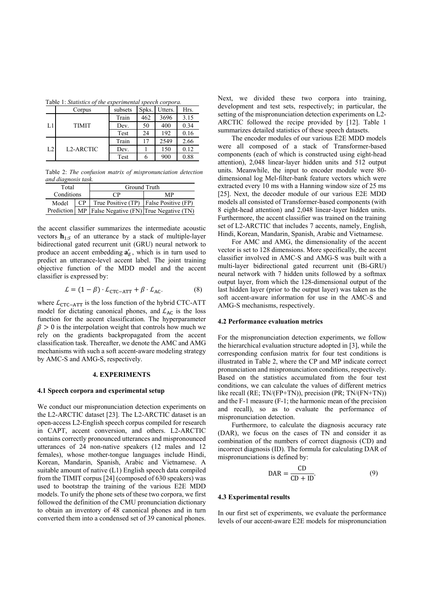| Table 1: Statistics of the experimental speech corpora. |  |  |  |  |  |  |  |
|---------------------------------------------------------|--|--|--|--|--|--|--|
|---------------------------------------------------------|--|--|--|--|--|--|--|

|                | Corpus           | subsets | Spks. | Utters. | Hrs. |
|----------------|------------------|---------|-------|---------|------|
|                |                  | Train   | 462   | 3696    | 3.15 |
| L1             | <b>TIMIT</b>     | Dev.    | 50    | 400     | 0.34 |
|                |                  | Test    | 24    | 192     | 0.16 |
|                |                  | Train   |       | 2549    | 2.66 |
| L <sub>2</sub> | <b>L2-ARCTIC</b> | Dev.    |       | 150     | 0.12 |
|                |                  | Test    |       | 900     | 0.88 |

Table 2: *The confusion matrix of mispronunciation detection and diagnosis task.*

| Total      |  | Ground Truth                                         |    |  |  |
|------------|--|------------------------------------------------------|----|--|--|
| Conditions |  | CР                                                   | MP |  |  |
| Model      |  | CP   True Positive (TP)   False Positive (FP)        |    |  |  |
|            |  | Prediction MP False Negative (FN) True Negative (TN) |    |  |  |

the accent classifier summarizes the intermediate acoustic vectors  $\mathbf{h}_{1:S}$  of an utterance by a stack of multiple-layer bidirectional gated recurrent unit (GRU) neural network to produce an accent embedding  $a'_E$ , which is in turn used to predict an utterance-level accent label. The joint training objective function of the MDD model and the accent classifier is expressed by:

$$
\mathcal{L} = (1 - \beta) \cdot \mathcal{L}_{\text{CTC-ATT}} + \beta \cdot \mathcal{L}_{\text{AC}}.\tag{8}
$$

where  $\mathcal{L}_{\text{CTC-ATT}}$  is the loss function of the hybrid CTC-ATT model for dictating canonical phones, and  $\mathcal{L}_{AC}$  is the loss function for the accent classification. The hyperparameter  $\beta > 0$  is the interpolation weight that controls how much we rely on the gradients backpropagated from the accent classification task. Thereafter, we denote the AMC and AMG mechanisms with such a soft accent-aware modeling strategy by AMC-S and AMG-S, respectively.

### **4. EXPERIMENTS**

#### **4.1 Speech corpora and experimental setup**

We conduct our mispronunciation detection experiments on the L2-ARCTIC dataset [23]. The L2-ARCTIC dataset is an open-access L2-English speech corpus compiled for research in CAPT, accent conversion, and others. L2-ARCTIC contains correctly pronounced utterances and mispronounced utterances of 24 non-native speakers (12 males and 12 females), whose mother-tongue languages include Hindi, Korean, Mandarin, Spanish, Arabic and Vietnamese. A suitable amount of native (L1) English speech data compiled from the TIMIT corpus [24] (composed of 630 speakers) was used to bootstrap the training of the various E2E MDD models. To unify the phone sets of these two corpora, we first followed the definition of the CMU pronunciation dictionary to obtain an inventory of 48 canonical phones and in turn converted them into a condensed set of 39 canonical phones.

Next, we divided these two corpora into training, development and test sets, respectively; in particular, the setting of the mispronunciation detection experiments on L2- ARCTIC followed the recipe provided by [12]. Table 1 summarizes detailed statistics of these speech datasets.

The encoder modules of our various E2E MDD models were all composed of a stack of Transformer-based components (each of which is constructed using eight-head attention), 2,048 linear-layer hidden units and 512 output units. Meanwhile, the input to encoder module were 80 dimensional log Mel-filter-bank feature vectors which were extracted every 10 ms with a Hanning window size of 25 ms [25]. Next, the decoder module of our various E2E MDD models all consisted of Transformer-based components (with 8 eight-head attention) and 2,048 linear-layer hidden units. Furthermore, the accent classifier was trained on the training set of L2-ARCTIC that includes 7 accents, namely, English, Hindi, Korean, Mandarin, Spanish, Arabic and Vietnamese.

For AMC and AMG, the dimensionality of the accent vector is set to 128 dimensions. More specifically, the accent classifier involved in AMC-S and AMG-S was built with a multi-layer bidirectional gated recurrent unit (Bi-GRU) neural network with 7 hidden units followed by a softmax output layer, from which the 128-dimensional output of the last hidden layer (prior to the output layer) was taken as the soft accent-aware information for use in the AMC-S and AMG-S mechanisms, respectively.

#### **4.2 Performance evaluation metrics**

For the mispronunciation detection experiments, we follow the hierarchical evaluation structure adopted in [3], while the corresponding confusion matrix for four test conditions is illustrated in Table 2, where the CP and MP indicate correct pronunciation and mispronunciation conditions, respectively. Based on the statistics accumulated from the four test conditions, we can calculate the values of different metrics like recall (RE; TN/(FP+TN)), precision (PR; TN/(FN+TN)) and the F-1 measure (F-1; the harmonic mean of the precision and recall), so as to evaluate the performance of mispronunciation detection.

Furthermore, to calculate the diagnosis accuracy rate (DAR), we focus on the cases of TN and consider it as combination of the numbers of correct diagnosis (CD) and incorrect diagnosis (ID). The formula for calculating DAR of mispronunciations is defined by:

$$
DAR = \frac{CD}{CD + ID}.\tag{9}
$$

#### **4.3 Experimental results**

In our first set of experiments, we evaluate the performance levels of our accent-aware E2E models for mispronunciation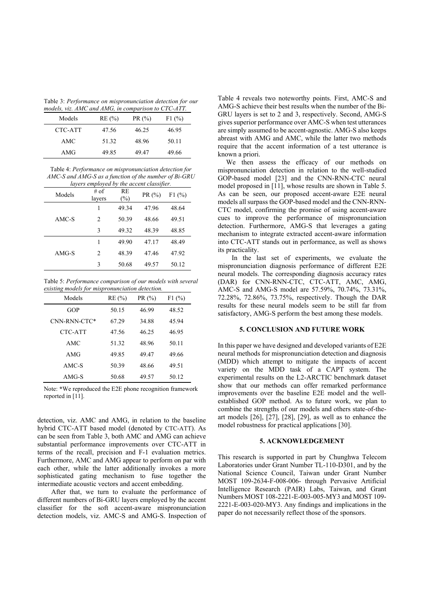Table 3: *Performance on mispronunciation detection for our models, viz. AMC and AMG, in comparison to CTC-ATT.* 

| Models  | RE(%) | PR(%) | F1(%) |
|---------|-------|-------|-------|
| CTC-ATT | 47.56 | 46.25 | 46.95 |
| AMC     | 51.32 | 48.96 | 50.11 |
| AMG     | 49.85 | 49.47 | 49.66 |

Table 4: *Performance on mispronunciation detection for AMC-S and AMG-S as a function of the number of Bi-GRU layers employed by the accent classifier.* 

| Models  | # of<br>layers | RE<br>(%) | PR(%) | F1(%) |
|---------|----------------|-----------|-------|-------|
|         | 1              | 49.34     | 47.96 | 48.64 |
| AMC-S   | 2              | 50.39     | 48.66 | 49.51 |
|         | 3              | 49.32     | 48.39 | 48.85 |
|         | 1              | 49.90     | 47.17 | 48.49 |
| $AMG-S$ | 2              | 48.39     | 47.46 | 47.92 |
|         | 3              | 50.68     | 49.57 | 50.12 |

Table 5: *Performance comparison of our models with several existing models for mispronunciation detection.* 

| Models       | RE(%) | PR(%) | F1(%) |
|--------------|-------|-------|-------|
| GOP          | 50.15 | 46.99 | 48.52 |
| CNN-RNN-CTC* | 67.29 | 34.88 | 45.94 |
| CTC-ATT      | 47.56 | 46.25 | 46.95 |
| AMC          | 51.32 | 48.96 | 50.11 |
| AMG          | 49.85 | 49.47 | 49.66 |
| AMC-S        | 50.39 | 48.66 | 49.51 |
| $AMG-S$      | 50.68 | 49.57 | 50.12 |

Note: **\***We reproduced the E2E phone recognition framework reported in [11].

detection, viz. AMC and AMG, in relation to the baseline hybrid CTC-ATT based model (denoted by CTC-ATT). As can be seen from Table 3, both AMC and AMG can achieve substantial performance improvements over CTC-ATT in terms of the recall, precision and F-1 evaluation metrics. Furthermore, AMC and AMG appear to perform on par with each other, while the latter additionally invokes a more sophisticated gating mechanism to fuse together the intermediate acoustic vectors and accent embedding.

After that, we turn to evaluate the performance of different numbers of Bi-GRU layers employed by the accent classifier for the soft accent-aware mispronunciation detection models, viz. AMC-S and AMG-S. Inspection of Table 4 reveals two noteworthy points. First, AMC-S and AMG-S achieve their best results when the number of the Bi-GRU layers is set to 2 and 3, respectively. Second, AMG-S gives superior performance over AMC-S when test utterances are simply assumed to be accent-agnostic. AMG-S also keeps abreast with AMG and AMC, while the latter two methods require that the accent information of a test utterance is known a priori.

We then assess the efficacy of our methods on mispronunciation detection in relation to the well-studied GOP-based model [23] and the CNN-RNN-CTC neural model proposed in [11], whose results are shown in Table 5. As can be seen, our proposed accent-aware E2E neural models all surpass the GOP-based model and the CNN-RNN-CTC model, confirming the promise of using accent-aware cues to improve the performance of mispronunciation detection. Furthermore, AMG-S that leverages a gating mechanism to integrate extracted accent-aware information into CTC-ATT stands out in performance, as well as shows its practicality.

In the last set of experiments, we evaluate the mispronunciation diagnosis performance of different E2E neural models. The corresponding diagnosis accuracy rates (DAR) for CNN-RNN-CTC, CTC-ATT, AMC, AMG, AMC-S and AMG-S model are 57.59%, 70.74%, 73.31%, 72.28%, 72.86%, 73.75%, respectively. Though the DAR results for these neural models seem to be still far from satisfactory, AMG-S perform the best among these models.

#### **5. CONCLUSION AND FUTURE WORK**

In this paper we have designed and developed variants of E2E neural methods for mispronunciation detection and diagnosis (MDD) which attempt to mitigate the impacts of accent variety on the MDD task of a CAPT system. The experimental results on the L2-ARCTIC benchmark dataset show that our methods can offer remarked performance improvements over the baseline E2E model and the wellestablished GOP method. As to future work, we plan to combine the strengths of our models and others state-of-theart models [26], [27], [28], [29], as well as to enhance the model robustness for practical applications [30].

### **5. ACKNOWLEDGEMENT**

This research is supported in part by Chunghwa Telecom Laboratories under Grant Number TL-110-D301, and by the National Science Council, Taiwan under Grant Number MOST 109-2634-F-008-006- through Pervasive Artificial Intelligence Research (PAIR) Labs, Taiwan, and Grant Numbers MOST 108-2221-E-003-005-MY3 and MOST 109- 2221-E-003-020-MY3. Any findings and implications in the paper do not necessarily reflect those of the sponsors.